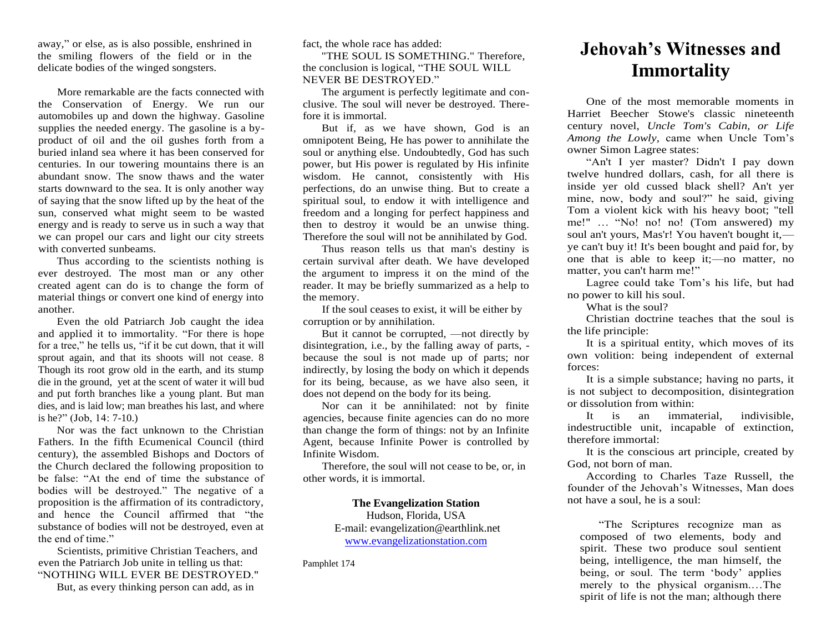away," or else, as is also possible, enshrined in the smiling flowers of the field or in the delicate bodies of the winged songsters.

More remarkable are the facts connected with the Conservation of Energy. We run our automobiles up and down the highway. Gasoline supplies the needed energy. The gasoline is a byproduct of oil and the oil gushes forth from a buried inland sea where it has been conserved for centuries. In our towering mountains there is an abundant snow. The snow thaws and the water starts downward to the sea. It is only another way of saying that the snow lifted up by the heat of the sun, conserved what might seem to be wasted energy and is ready to serve us in such a way that we can propel our cars and light our city streets with converted sunbeams.

Thus according to the scientists nothing is ever destroyed. The most man or any other created agent can do is to change the form of material things or convert one kind of energy into another.

Even the old Patriarch Job caught the idea and applied it to immortality. "For there is hope for a tree," he tells us, "if it be cut down, that it will sprout again, and that its shoots will not cease. 8 Though its root grow old in the earth, and its stump die in the ground, yet at the scent of water it will bud and put forth branches like a young plant. But man dies, and is laid low; man breathes his last, and where is he?" (Job, 14: 7-10.)

Nor was the fact unknown to the Christian Fathers. In the fifth Ecumenical Council (third century), the assembled Bishops and Doctors of the Church declared the following proposition to be false: "At the end of time the substance of bodies will be destroyed." The negative of a proposition is the affirmation of its contradictory, and hence the Council affirmed that "the substance of bodies will not be destroyed, even at the end of time."

Scientists, primitive Christian Teachers, and even the Patriarch Job unite in telling us that: "NOTHING WILL EVER BE DESTROYED."

But, as every thinking person can add, as in

fact, the whole race has added:

"THE SOUL IS SOMETHING." Therefore, the conclusion is logical, "THE SOUL WILL NEVER BE DESTROYED."

The argument is perfectly legitimate and conclusive. The soul will never be destroyed. Therefore it is immortal.

But if, as we have shown, God is an omnipotent Being, He has power to annihilate the soul or anything else. Undoubtedly, God has such power, but His power is regulated by His infinite wisdom. He cannot, consistently with His perfections, do an unwise thing. But to create a spiritual soul, to endow it with intelligence and freedom and a longing for perfect happiness and then to destroy it would be an unwise thing. Therefore the soul will not be annihilated by God.

Thus reason tells us that man's destiny is certain survival after death. We have developed the argument to impress it on the mind of the reader. It may be briefly summarized as a help to the memory.

If the soul ceases to exist, it will be either by corruption or by annihilation.

But it cannot be corrupted, —not directly by disintegration, i.e., by the falling away of parts, because the soul is not made up of parts; nor indirectly, by losing the body on which it depends for its being, because, as we have also seen, it does not depend on the body for its being.

Nor can it be annihilated: not by finite agencies, because finite agencies can do no more than change the form of things: not by an Infinite Agent, because Infinite Power is controlled by Infinite Wisdom.

Therefore, the soul will not cease to be, or, in other words, it is immortal.

## **The Evangelization Station**

Hudson, Florida, USA E-mail: evangelization@earthlink.net [www.evangelizationstation.com](http://www.pjpiisoe.org/)

Pamphlet 174

## **Jehovah's Witnesses and Immortality**

One of the most memorable moments in Harriet Beecher Stowe's classic nineteenth century novel, *Uncle Tom's Cabin, or Life Among the Lowly,* came when Uncle Tom's owner Simon Lagree states:

"An't I yer master? Didn't I pay down twelve hundred dollars, cash, for all there is inside yer old cussed black shell? An't yer mine, now, body and soul?" he said, giving Tom a violent kick with his heavy boot; "tell me!" … "No! no! no! (Tom answered) my soul an't yours, Mas'r! You haven't bought it, ye can't buy it! It's been bought and paid for, by one that is able to keep it;—no matter, no matter, you can't harm me!"

Lagree could take Tom's his life, but had no power to kill his soul.

What is the soul?

Christian doctrine teaches that the soul is the life principle:

It is a spiritual entity, which moves of its own volition: being independent of external forces:

It is a simple substance; having no parts, it is not subject to decomposition, disintegration or dissolution from within:

It is an immaterial, indivisible, indestructible unit, incapable of extinction, therefore immortal:

It is the conscious art principle, created by God, not born of man.

According to Charles Taze Russell, the founder of the Jehovah's Witnesses, Man does not have a soul, he is a soul:

"The Scriptures recognize man as composed of two elements, body and spirit. These two produce soul sentient being, intelligence, the man himself, the being, or soul. The term 'body' applies merely to the physical organism.…The spirit of life is not the man; although there